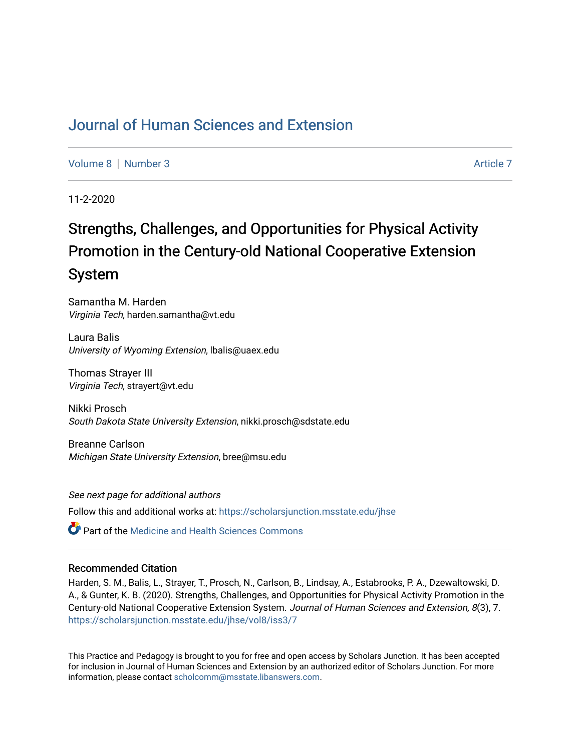# [Journal of Human Sciences and Extension](https://scholarsjunction.msstate.edu/jhse)

[Volume 8](https://scholarsjunction.msstate.edu/jhse/vol8) [Number 3](https://scholarsjunction.msstate.edu/jhse/vol8/iss3) [Article 7](https://scholarsjunction.msstate.edu/jhse/vol8/iss3/7) Article 7 Article 7 Article 7 Article 7 Article 7 Article 7

11-2-2020

# Strengths, Challenges, and Opportunities for Physical Activity Promotion in the Century-old National Cooperative Extension System

Samantha M. Harden Virginia Tech, harden.samantha@vt.edu

Laura Balis University of Wyoming Extension, lbalis@uaex.edu

Thomas Strayer III Virginia Tech, strayert@vt.edu

Nikki Prosch South Dakota State University Extension, nikki.prosch@sdstate.edu

Breanne Carlson Michigan State University Extension, bree@msu.edu

See next page for additional authors Follow this and additional works at: [https://scholarsjunction.msstate.edu/jhse](https://scholarsjunction.msstate.edu/jhse?utm_source=scholarsjunction.msstate.edu%2Fjhse%2Fvol8%2Fiss3%2F7&utm_medium=PDF&utm_campaign=PDFCoverPages)

Part of the [Medicine and Health Sciences Commons](http://network.bepress.com/hgg/discipline/648?utm_source=scholarsjunction.msstate.edu%2Fjhse%2Fvol8%2Fiss3%2F7&utm_medium=PDF&utm_campaign=PDFCoverPages) 

#### Recommended Citation

Harden, S. M., Balis, L., Strayer, T., Prosch, N., Carlson, B., Lindsay, A., Estabrooks, P. A., Dzewaltowski, D. A., & Gunter, K. B. (2020). Strengths, Challenges, and Opportunities for Physical Activity Promotion in the Century-old National Cooperative Extension System. Journal of Human Sciences and Extension, 8(3), 7. [https://scholarsjunction.msstate.edu/jhse/vol8/iss3/7](https://scholarsjunction.msstate.edu/jhse/vol8/iss3/7?utm_source=scholarsjunction.msstate.edu%2Fjhse%2Fvol8%2Fiss3%2F7&utm_medium=PDF&utm_campaign=PDFCoverPages)

This Practice and Pedagogy is brought to you for free and open access by Scholars Junction. It has been accepted for inclusion in Journal of Human Sciences and Extension by an authorized editor of Scholars Junction. For more information, please contact [scholcomm@msstate.libanswers.com](mailto:scholcomm@msstate.libanswers.com).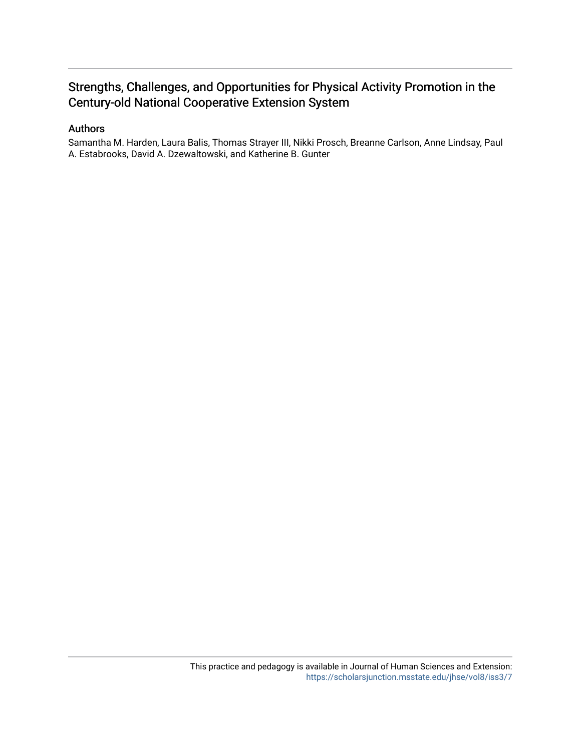# Strengths, Challenges, and Opportunities for Physical Activity Promotion in the Century-old National Cooperative Extension System

#### Authors

Samantha M. Harden, Laura Balis, Thomas Strayer III, Nikki Prosch, Breanne Carlson, Anne Lindsay, Paul A. Estabrooks, David A. Dzewaltowski, and Katherine B. Gunter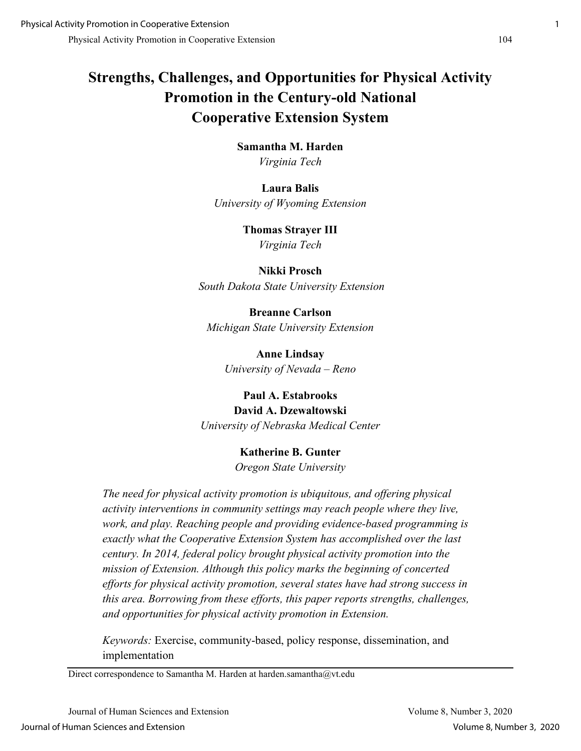# **Strengths, Challenges, and Opportunities for Physical Activity Promotion in the Century-old National Cooperative Extension System**

**Samantha M. Harden** *Virginia Tech*

**Laura Balis**  *University of Wyoming Extension* 

> **Thomas Strayer III** *Virginia Tech*

**Nikki Prosch** *South Dakota State University Extension*

**Breanne Carlson** *Michigan State University Extension*

> **Anne Lindsay** *University of Nevada – Reno*

## **Paul A. Estabrooks David A. Dzewaltowski** *University of Nebraska Medical Center*

# **Katherine B. Gunter**

*Oregon State University*

*The need for physical activity promotion is ubiquitous, and offering physical activity interventions in community settings may reach people where they live, work, and play. Reaching people and providing evidence-based programming is exactly what the Cooperative Extension System has accomplished over the last century. In 2014, federal policy brought physical activity promotion into the mission of Extension. Although this policy marks the beginning of concerted efforts for physical activity promotion, several states have had strong success in this area. Borrowing from these efforts, this paper reports strengths, challenges, and opportunities for physical activity promotion in Extension.*

*Keywords:* Exercise, community-based, policy response, dissemination, and implementation

Direct correspondence to Samantha M. Harden at harden.samantha@vt.edu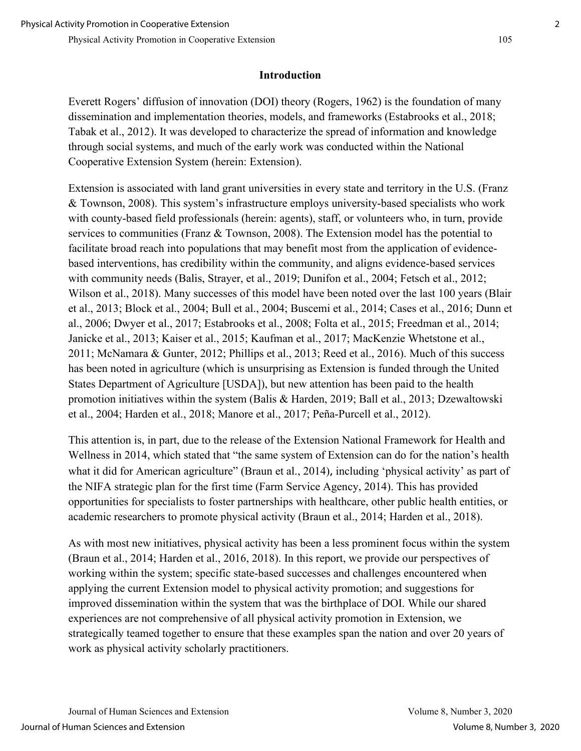#### **Introduction**

Everett Rogers' diffusion of innovation (DOI) theory (Rogers, 1962) is the foundation of many dissemination and implementation theories, models, and frameworks (Estabrooks et al., 2018; Tabak et al., 2012). It was developed to characterize the spread of information and knowledge through social systems, and much of the early work was conducted within the National Cooperative Extension System (herein: Extension).

Extension is associated with land grant universities in every state and territory in the U.S. (Franz & Townson, 2008). This system's infrastructure employs university-based specialists who work with county-based field professionals (herein: agents), staff, or volunteers who, in turn, provide services to communities (Franz & Townson, 2008). The Extension model has the potential to facilitate broad reach into populations that may benefit most from the application of evidencebased interventions, has credibility within the community, and aligns evidence-based services with community needs (Balis, Strayer, et al., 2019; Dunifon et al., 2004; Fetsch et al., 2012; Wilson et al., 2018). Many successes of this model have been noted over the last 100 years (Blair et al., 2013; Block et al., 2004; Bull et al., 2004; Buscemi et al., 2014; Cases et al., 2016; Dunn et al., 2006; Dwyer et al., 2017; Estabrooks et al., 2008; Folta et al., 2015; Freedman et al., 2014; Janicke et al., 2013; Kaiser et al., 2015; Kaufman et al., 2017; MacKenzie Whetstone et al., 2011; McNamara & Gunter, 2012; Phillips et al., 2013; Reed et al., 2016). Much of this success has been noted in agriculture (which is unsurprising as Extension is funded through the United States Department of Agriculture [USDA]), but new attention has been paid to the health promotion initiatives within the system (Balis & Harden, 2019; Ball et al., 2013; Dzewaltowski et al., 2004; Harden et al., 2018; Manore et al., 2017; Peña-Purcell et al., 2012).

This attention is, in part, due to the release of the Extension National Framework for Health and Wellness in 2014, which stated that "the same system of Extension can do for the nation's health what it did for American agriculture" (Braun et al., 2014), including 'physical activity' as part of the NIFA strategic plan for the first time (Farm Service Agency, 2014). This has provided opportunities for specialists to foster partnerships with healthcare, other public health entities, or academic researchers to promote physical activity (Braun et al., 2014; Harden et al., 2018).

As with most new initiatives, physical activity has been a less prominent focus within the system (Braun et al., 2014; Harden et al., 2016, 2018). In this report, we provide our perspectives of working within the system; specific state-based successes and challenges encountered when applying the current Extension model to physical activity promotion; and suggestions for improved dissemination within the system that was the birthplace of DOI. While our shared experiences are not comprehensive of all physical activity promotion in Extension, we strategically teamed together to ensure that these examples span the nation and over 20 years of work as physical activity scholarly practitioners.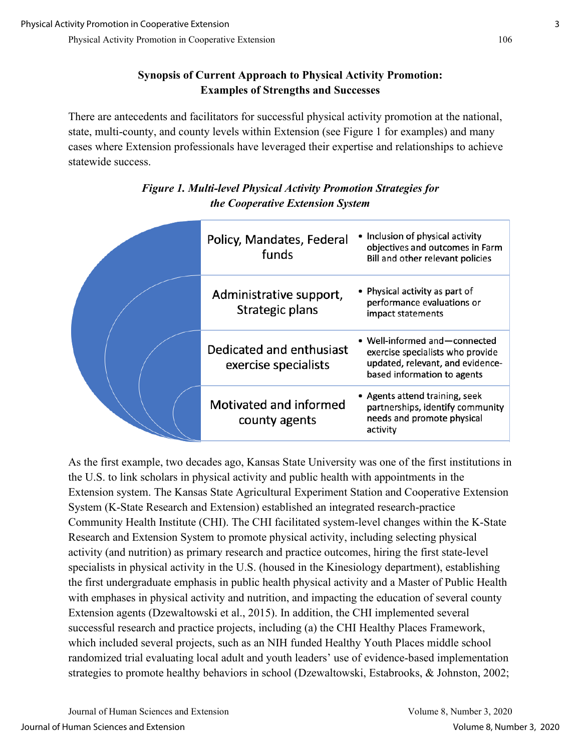## **Synopsis of Current Approach to Physical Activity Promotion: Examples of Strengths and Successes**

There are antecedents and facilitators for successful physical activity promotion at the national, state, multi-county, and county levels within Extension (see Figure 1 for examples) and many cases where Extension professionals have leveraged their expertise and relationships to achieve statewide success.

|  | Policy, Mandates, Federal<br>funds               | • Inclusion of physical activity<br>objectives and outcomes in Farm<br>Bill and other relevant policies                              |
|--|--------------------------------------------------|--------------------------------------------------------------------------------------------------------------------------------------|
|  | Administrative support,<br>Strategic plans       | • Physical activity as part of<br>performance evaluations or<br>impact statements                                                    |
|  | Dedicated and enthusiast<br>exercise specialists | • Well-informed and-connected<br>exercise specialists who provide<br>updated, relevant, and evidence-<br>based information to agents |
|  | Motivated and informed<br>county agents          | • Agents attend training, seek<br>partnerships, identify community<br>needs and promote physical<br>activity                         |

# *Figure 1. Multi-level Physical Activity Promotion Strategies for the Cooperative Extension System*

As the first example, two decades ago, Kansas State University was one of the first institutions in the U.S. to link scholars in physical activity and public health with appointments in the Extension system. The Kansas State Agricultural Experiment Station and Cooperative Extension System (K-State Research and Extension) established an integrated research-practice Community Health Institute (CHI). The CHI facilitated system-level changes within the K-State Research and Extension System to promote physical activity, including selecting physical activity (and nutrition) as primary research and practice outcomes, hiring the first state-level specialists in physical activity in the U.S. (housed in the Kinesiology department), establishing the first undergraduate emphasis in public health physical activity and a Master of Public Health with emphases in physical activity and nutrition, and impacting the education of several county Extension agents (Dzewaltowski et al., 2015). In addition, the CHI implemented several successful research and practice projects, including (a) the CHI Healthy Places Framework, which included several projects, such as an NIH funded Healthy Youth Places middle school randomized trial evaluating local adult and youth leaders' use of evidence-based implementation strategies to promote healthy behaviors in school (Dzewaltowski, Estabrooks, & Johnston, 2002;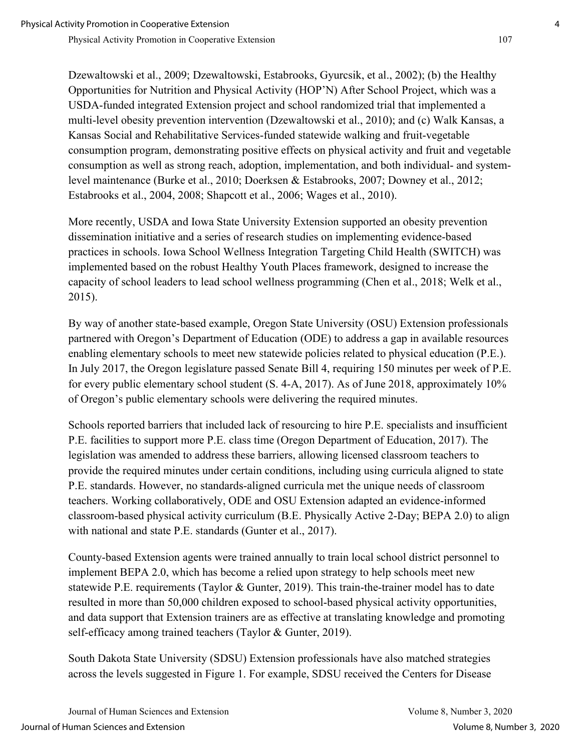Dzewaltowski et al., 2009; Dzewaltowski, Estabrooks, Gyurcsik, et al., 2002); (b) the Healthy Opportunities for Nutrition and Physical Activity (HOP'N) After School Project, which was a USDA-funded integrated Extension project and school randomized trial that implemented a multi-level obesity prevention intervention (Dzewaltowski et al., 2010); and (c) Walk Kansas, a Kansas Social and Rehabilitative Services-funded statewide walking and fruit-vegetable consumption program, demonstrating positive effects on physical activity and fruit and vegetable consumption as well as strong reach, adoption, implementation, and both individual- and systemlevel maintenance (Burke et al., 2010; Doerksen & Estabrooks, 2007; Downey et al., 2012; Estabrooks et al., 2004, 2008; Shapcott et al., 2006; Wages et al., 2010).

More recently, USDA and Iowa State University Extension supported an obesity prevention dissemination initiative and a series of research studies on implementing evidence-based practices in schools. Iowa School Wellness Integration Targeting Child Health (SWITCH) was implemented based on the robust Healthy Youth Places framework, designed to increase the capacity of school leaders to lead school wellness programming (Chen et al., 2018; Welk et al., 2015).

By way of another state-based example, Oregon State University (OSU) Extension professionals partnered with Oregon's Department of Education (ODE) to address a gap in available resources enabling elementary schools to meet new statewide policies related to physical education (P.E.). In July 2017, the Oregon legislature passed Senate Bill 4, requiring 150 minutes per week of P.E. for every public elementary school student (S. 4-A, 2017). As of June 2018, approximately 10% of Oregon's public elementary schools were delivering the required minutes.

Schools reported barriers that included lack of resourcing to hire P.E. specialists and insufficient P.E. facilities to support more P.E. class time (Oregon Department of Education, 2017). The legislation was amended to address these barriers, allowing licensed classroom teachers to provide the required minutes under certain conditions, including using curricula aligned to state P.E. standards. However, no standards-aligned curricula met the unique needs of classroom teachers. Working collaboratively, ODE and OSU Extension adapted an evidence-informed classroom-based physical activity curriculum (B.E. Physically Active 2-Day; BEPA 2.0) to align with national and state P.E. standards (Gunter et al., 2017).

County-based Extension agents were trained annually to train local school district personnel to implement BEPA 2.0, which has become a relied upon strategy to help schools meet new statewide P.E. requirements (Taylor & Gunter, 2019). This train-the-trainer model has to date resulted in more than 50,000 children exposed to school-based physical activity opportunities, and data support that Extension trainers are as effective at translating knowledge and promoting self-efficacy among trained teachers (Taylor & Gunter, 2019).

South Dakota State University (SDSU) Extension professionals have also matched strategies across the levels suggested in Figure 1. For example, SDSU received the Centers for Disease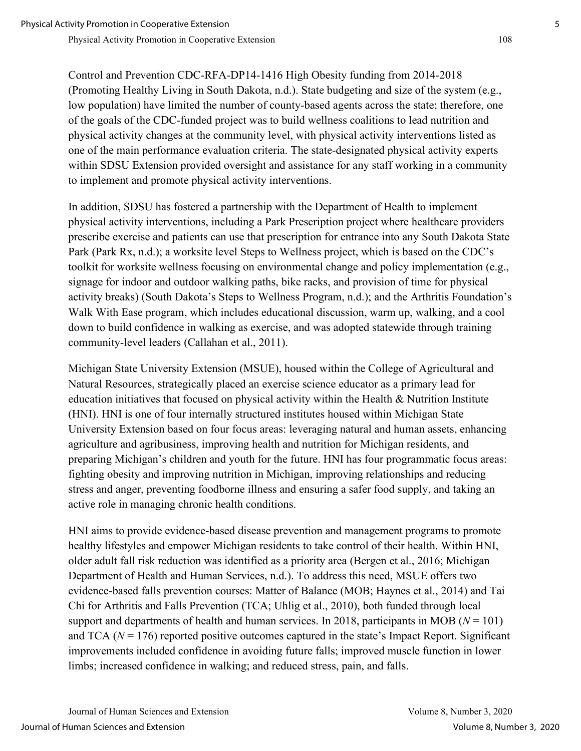Control and Prevention CDC-RFA-DP14-1416 High Obesity funding from 2014-2018 (Promoting Healthy Living in South Dakota, n.d.). State budgeting and size of the system (e.g., low population) have limited the number of county-based agents across the state; therefore, one of the goals of the CDC-funded project was to build wellness coalitions to lead nutrition and physical activity changes at the community level, with physical activity interventions listed as one of the main performance evaluation criteria. The state-designated physical activity experts within SDSU Extension provided oversight and assistance for any staff working in a community to implement and promote physical activity interventions.

In addition, SDSU has fostered a partnership with the Department of Health to implement physical activity interventions, including a Park Prescription project where healthcare providers prescribe exercise and patients can use that prescription for entrance into any South Dakota State Park (Park Rx, n.d.); a worksite level Steps to Wellness project, which is based on the CDC's toolkit for worksite wellness focusing on environmental change and policy implementation (e.g., signage for indoor and outdoor walking paths, bike racks, and provision of time for physical activity breaks) (South Dakota's Steps to Wellness Program, n.d.); and the Arthritis Foundation's Walk With Ease program, which includes educational discussion, warm up, walking, and a cool down to build confidence in walking as exercise, and was adopted statewide through training community-level leaders (Callahan et al., 2011).

Michigan State University Extension (MSUE), housed within the College of Agricultural and Natural Resources, strategically placed an exercise science educator as a primary lead for education initiatives that focused on physical activity within the Health & Nutrition Institute (HNI). HNI is one of four internally structured institutes housed within Michigan State University Extension based on four focus areas: leveraging natural and human assets, enhancing agriculture and agribusiness, improving health and nutrition for Michigan residents, and preparing Michigan's children and youth for the future. HNI has four programmatic focus areas: fighting obesity and improving nutrition in Michigan, improving relationships and reducing stress and anger, preventing foodborne illness and ensuring a safer food supply, and taking an active role in managing chronic health conditions.

HNI aims to provide evidence-based disease prevention and management programs to promote healthy lifestyles and empower Michigan residents to take control of their health. Within HNI, older adult fall risk reduction was identified as a priority area (Bergen et al., 2016; Michigan Department of Health and Human Services, n.d.). To address this need, MSUE offers two evidence-based falls prevention courses: Matter of Balance (MOB; Haynes et al., 2014) and Tai Chi for Arthritis and Falls Prevention (TCA; Uhlig et al., 2010), both funded through local support and departments of health and human services. In 2018, participants in MOB ( $N = 101$ ) and TCA  $(N = 176)$  reported positive outcomes captured in the state's Impact Report. Significant improvements included confidence in avoiding future falls; improved muscle function in lower limbs; increased confidence in walking; and reduced stress, pain, and falls.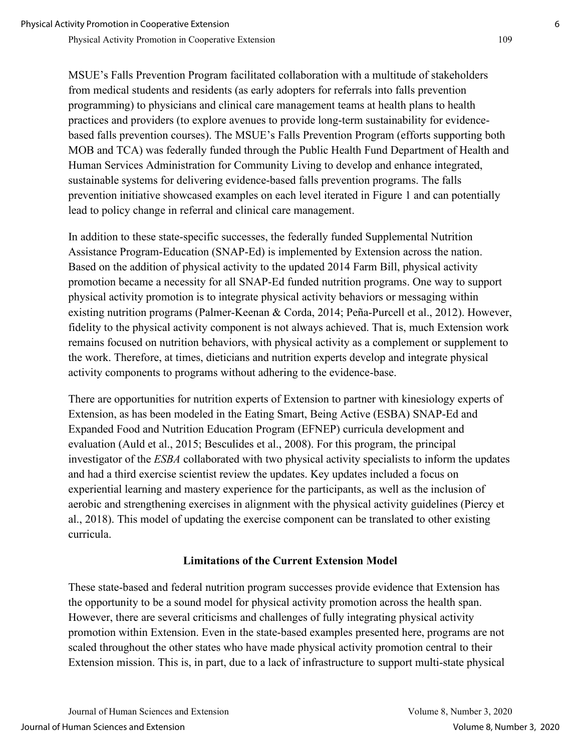MSUE's Falls Prevention Program facilitated collaboration with a multitude of stakeholders from medical students and residents (as early adopters for referrals into falls prevention programming) to physicians and clinical care management teams at health plans to health practices and providers (to explore avenues to provide long-term sustainability for evidencebased falls prevention courses). The MSUE's Falls Prevention Program (efforts supporting both MOB and TCA) was federally funded through the Public Health Fund Department of Health and Human Services Administration for Community Living to develop and enhance integrated, sustainable systems for delivering evidence-based falls prevention programs. The falls prevention initiative showcased examples on each level iterated in Figure 1 and can potentially lead to policy change in referral and clinical care management.

In addition to these state-specific successes, the federally funded Supplemental Nutrition Assistance Program-Education (SNAP-Ed) is implemented by Extension across the nation. Based on the addition of physical activity to the updated 2014 Farm Bill, physical activity promotion became a necessity for all SNAP-Ed funded nutrition programs. One way to support physical activity promotion is to integrate physical activity behaviors or messaging within existing nutrition programs (Palmer-Keenan & Corda, 2014; Peña-Purcell et al., 2012). However, fidelity to the physical activity component is not always achieved. That is, much Extension work remains focused on nutrition behaviors, with physical activity as a complement or supplement to the work. Therefore, at times, dieticians and nutrition experts develop and integrate physical activity components to programs without adhering to the evidence-base.

There are opportunities for nutrition experts of Extension to partner with kinesiology experts of Extension, as has been modeled in the Eating Smart, Being Active (ESBA) SNAP-Ed and Expanded Food and Nutrition Education Program (EFNEP) curricula development and evaluation (Auld et al., 2015; Besculides et al., 2008). For this program, the principal investigator of the *ESBA* collaborated with two physical activity specialists to inform the updates and had a third exercise scientist review the updates. Key updates included a focus on experiential learning and mastery experience for the participants, as well as the inclusion of aerobic and strengthening exercises in alignment with the physical activity guidelines (Piercy et al., 2018). This model of updating the exercise component can be translated to other existing curricula.

#### **Limitations of the Current Extension Model**

These state-based and federal nutrition program successes provide evidence that Extension has the opportunity to be a sound model for physical activity promotion across the health span. However, there are several criticisms and challenges of fully integrating physical activity promotion within Extension. Even in the state-based examples presented here, programs are not scaled throughout the other states who have made physical activity promotion central to their Extension mission. This is, in part, due to a lack of infrastructure to support multi-state physical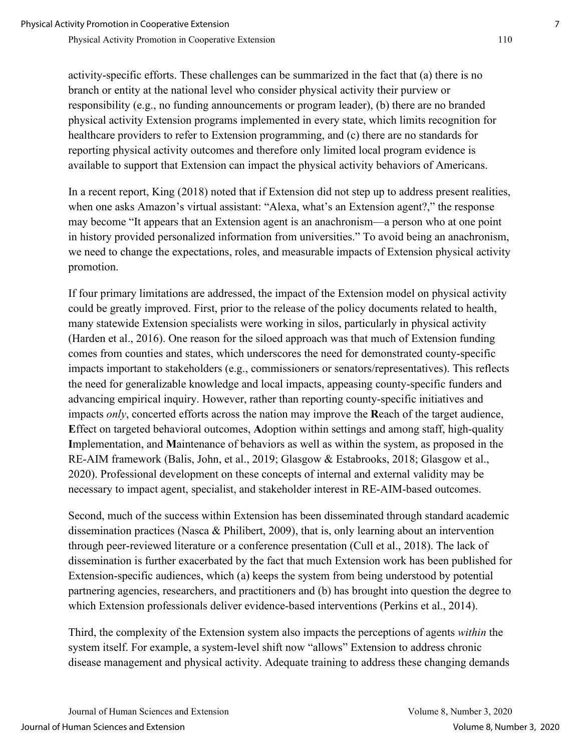activity-specific efforts. These challenges can be summarized in the fact that (a) there is no branch or entity at the national level who consider physical activity their purview or responsibility (e.g., no funding announcements or program leader), (b) there are no branded physical activity Extension programs implemented in every state, which limits recognition for healthcare providers to refer to Extension programming, and (c) there are no standards for reporting physical activity outcomes and therefore only limited local program evidence is available to support that Extension can impact the physical activity behaviors of Americans.

In a recent report, King (2018) noted that if Extension did not step up to address present realities, when one asks Amazon's virtual assistant: "Alexa, what's an Extension agent?," the response may become "It appears that an Extension agent is an anachronism—a person who at one point in history provided personalized information from universities." To avoid being an anachronism, we need to change the expectations, roles, and measurable impacts of Extension physical activity promotion.

If four primary limitations are addressed, the impact of the Extension model on physical activity could be greatly improved. First, prior to the release of the policy documents related to health, many statewide Extension specialists were working in silos, particularly in physical activity (Harden et al., 2016). One reason for the siloed approach was that much of Extension funding comes from counties and states, which underscores the need for demonstrated county-specific impacts important to stakeholders (e.g., commissioners or senators/representatives). This reflects the need for generalizable knowledge and local impacts, appeasing county-specific funders and advancing empirical inquiry. However, rather than reporting county-specific initiatives and impacts *only*, concerted efforts across the nation may improve the **R**each of the target audience, **E**ffect on targeted behavioral outcomes, **A**doption within settings and among staff, high-quality **I**mplementation, and **M**aintenance of behaviors as well as within the system, as proposed in the RE-AIM framework (Balis, John, et al., 2019; Glasgow & Estabrooks, 2018; Glasgow et al., 2020). Professional development on these concepts of internal and external validity may be necessary to impact agent, specialist, and stakeholder interest in RE-AIM-based outcomes.

Second, much of the success within Extension has been disseminated through standard academic dissemination practices (Nasca & Philibert, 2009), that is, only learning about an intervention through peer-reviewed literature or a conference presentation (Cull et al., 2018). The lack of dissemination is further exacerbated by the fact that much Extension work has been published for Extension-specific audiences, which (a) keeps the system from being understood by potential partnering agencies, researchers, and practitioners and (b) has brought into question the degree to which Extension professionals deliver evidence-based interventions (Perkins et al., 2014).

Third, the complexity of the Extension system also impacts the perceptions of agents *within* the system itself. For example, a system-level shift now "allows" Extension to address chronic disease management and physical activity. Adequate training to address these changing demands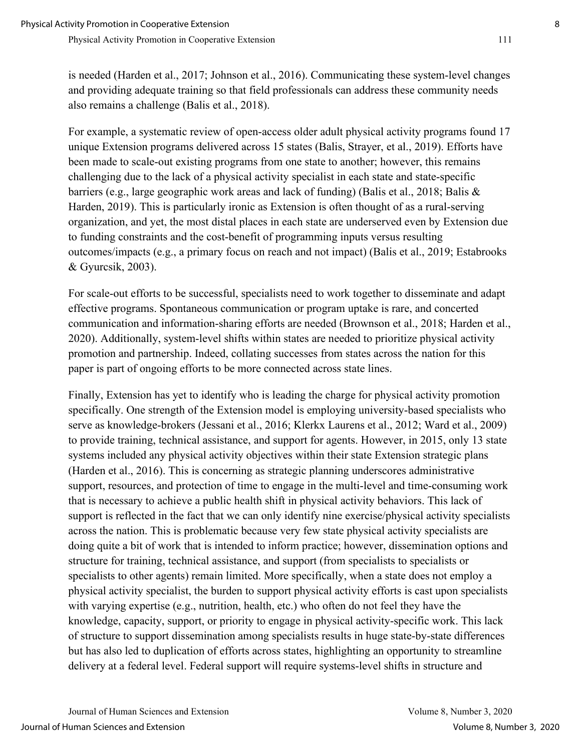is needed (Harden et al., 2017; Johnson et al., 2016). Communicating these system-level changes and providing adequate training so that field professionals can address these community needs also remains a challenge (Balis et al., 2018).

For example, a systematic review of open-access older adult physical activity programs found 17 unique Extension programs delivered across 15 states (Balis, Strayer, et al., 2019). Efforts have been made to scale-out existing programs from one state to another; however, this remains challenging due to the lack of a physical activity specialist in each state and state-specific barriers (e.g., large geographic work areas and lack of funding) (Balis et al., 2018; Balis & Harden, 2019). This is particularly ironic as Extension is often thought of as a rural-serving organization, and yet, the most distal places in each state are underserved even by Extension due to funding constraints and the cost-benefit of programming inputs versus resulting outcomes/impacts (e.g., a primary focus on reach and not impact) (Balis et al., 2019; Estabrooks & Gyurcsik, 2003).

For scale-out efforts to be successful, specialists need to work together to disseminate and adapt effective programs. Spontaneous communication or program uptake is rare, and concerted communication and information-sharing efforts are needed (Brownson et al., 2018; Harden et al., 2020). Additionally, system-level shifts within states are needed to prioritize physical activity promotion and partnership. Indeed, collating successes from states across the nation for this paper is part of ongoing efforts to be more connected across state lines.

Finally, Extension has yet to identify who is leading the charge for physical activity promotion specifically. One strength of the Extension model is employing university-based specialists who serve as knowledge-brokers (Jessani et al., 2016; Klerkx Laurens et al., 2012; Ward et al., 2009) to provide training, technical assistance, and support for agents. However, in 2015, only 13 state systems included any physical activity objectives within their state Extension strategic plans (Harden et al., 2016). This is concerning as strategic planning underscores administrative support, resources, and protection of time to engage in the multi-level and time-consuming work that is necessary to achieve a public health shift in physical activity behaviors. This lack of support is reflected in the fact that we can only identify nine exercise/physical activity specialists across the nation. This is problematic because very few state physical activity specialists are doing quite a bit of work that is intended to inform practice; however, dissemination options and structure for training, technical assistance, and support (from specialists to specialists or specialists to other agents) remain limited. More specifically, when a state does not employ a physical activity specialist, the burden to support physical activity efforts is cast upon specialists with varying expertise (e.g., nutrition, health, etc.) who often do not feel they have the knowledge, capacity, support, or priority to engage in physical activity-specific work. This lack of structure to support dissemination among specialists results in huge state-by-state differences but has also led to duplication of efforts across states, highlighting an opportunity to streamline delivery at a federal level. Federal support will require systems-level shifts in structure and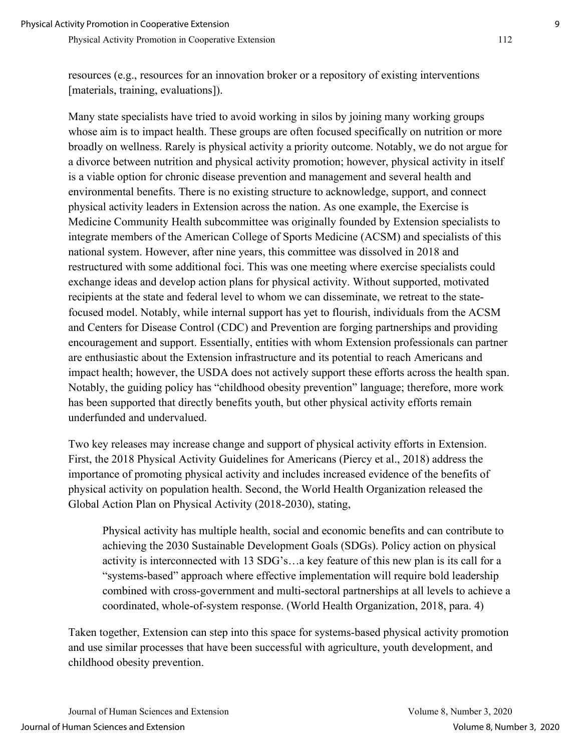resources (e.g., resources for an innovation broker or a repository of existing interventions [materials, training, evaluations]).

Many state specialists have tried to avoid working in silos by joining many working groups whose aim is to impact health. These groups are often focused specifically on nutrition or more broadly on wellness. Rarely is physical activity a priority outcome. Notably, we do not argue for a divorce between nutrition and physical activity promotion; however, physical activity in itself is a viable option for chronic disease prevention and management and several health and environmental benefits. There is no existing structure to acknowledge, support, and connect physical activity leaders in Extension across the nation. As one example, the Exercise is Medicine Community Health subcommittee was originally founded by Extension specialists to integrate members of the American College of Sports Medicine (ACSM) and specialists of this national system. However, after nine years, this committee was dissolved in 2018 and restructured with some additional foci. This was one meeting where exercise specialists could exchange ideas and develop action plans for physical activity. Without supported, motivated recipients at the state and federal level to whom we can disseminate, we retreat to the statefocused model. Notably, while internal support has yet to flourish, individuals from the ACSM and Centers for Disease Control (CDC) and Prevention are forging partnerships and providing encouragement and support. Essentially, entities with whom Extension professionals can partner are enthusiastic about the Extension infrastructure and its potential to reach Americans and impact health; however, the USDA does not actively support these efforts across the health span. Notably, the guiding policy has "childhood obesity prevention" language; therefore, more work has been supported that directly benefits youth, but other physical activity efforts remain underfunded and undervalued.

Two key releases may increase change and support of physical activity efforts in Extension. First, the 2018 Physical Activity Guidelines for Americans (Piercy et al., 2018) address the importance of promoting physical activity and includes increased evidence of the benefits of physical activity on population health. Second, the World Health Organization released the Global Action Plan on Physical Activity (2018-2030), stating,

Physical activity has multiple health, social and economic benefits and can contribute to achieving the 2030 Sustainable Development Goals (SDGs). Policy action on physical activity is interconnected with 13 SDG's…a key feature of this new plan is its call for a "systems-based" approach where effective implementation will require bold leadership combined with cross-government and multi-sectoral partnerships at all levels to achieve a coordinated, whole-of-system response. (World Health Organization, 2018, para. 4)

Taken together, Extension can step into this space for systems-based physical activity promotion and use similar processes that have been successful with agriculture, youth development, and childhood obesity prevention.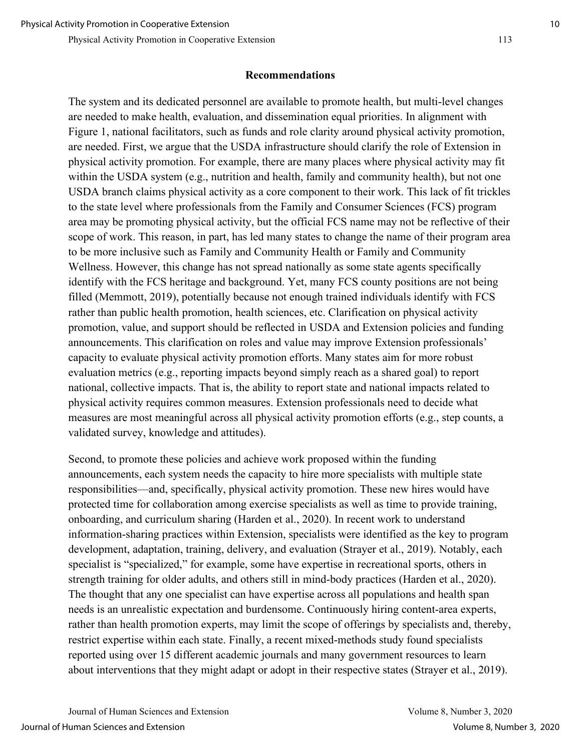#### **Recommendations**

The system and its dedicated personnel are available to promote health, but multi-level changes are needed to make health, evaluation, and dissemination equal priorities. In alignment with Figure 1, national facilitators, such as funds and role clarity around physical activity promotion, are needed. First, we argue that the USDA infrastructure should clarify the role of Extension in physical activity promotion. For example, there are many places where physical activity may fit within the USDA system (e.g., nutrition and health, family and community health), but not one USDA branch claims physical activity as a core component to their work. This lack of fit trickles to the state level where professionals from the Family and Consumer Sciences (FCS) program area may be promoting physical activity, but the official FCS name may not be reflective of their scope of work. This reason, in part, has led many states to change the name of their program area to be more inclusive such as Family and Community Health or Family and Community Wellness. However, this change has not spread nationally as some state agents specifically identify with the FCS heritage and background. Yet, many FCS county positions are not being filled (Memmott, 2019), potentially because not enough trained individuals identify with FCS rather than public health promotion, health sciences, etc. Clarification on physical activity promotion, value, and support should be reflected in USDA and Extension policies and funding announcements. This clarification on roles and value may improve Extension professionals' capacity to evaluate physical activity promotion efforts. Many states aim for more robust evaluation metrics (e.g., reporting impacts beyond simply reach as a shared goal) to report national, collective impacts. That is, the ability to report state and national impacts related to physical activity requires common measures. Extension professionals need to decide what measures are most meaningful across all physical activity promotion efforts (e.g., step counts, a validated survey, knowledge and attitudes).

Second, to promote these policies and achieve work proposed within the funding announcements, each system needs the capacity to hire more specialists with multiple state responsibilities—and, specifically, physical activity promotion. These new hires would have protected time for collaboration among exercise specialists as well as time to provide training, onboarding, and curriculum sharing (Harden et al., 2020). In recent work to understand information-sharing practices within Extension, specialists were identified as the key to program development, adaptation, training, delivery, and evaluation (Strayer et al., 2019). Notably, each specialist is "specialized," for example, some have expertise in recreational sports, others in strength training for older adults, and others still in mind-body practices (Harden et al., 2020). The thought that any one specialist can have expertise across all populations and health span needs is an unrealistic expectation and burdensome. Continuously hiring content-area experts, rather than health promotion experts, may limit the scope of offerings by specialists and, thereby, restrict expertise within each state. Finally, a recent mixed-methods study found specialists reported using over 15 different academic journals and many government resources to learn about interventions that they might adapt or adopt in their respective states (Strayer et al., 2019).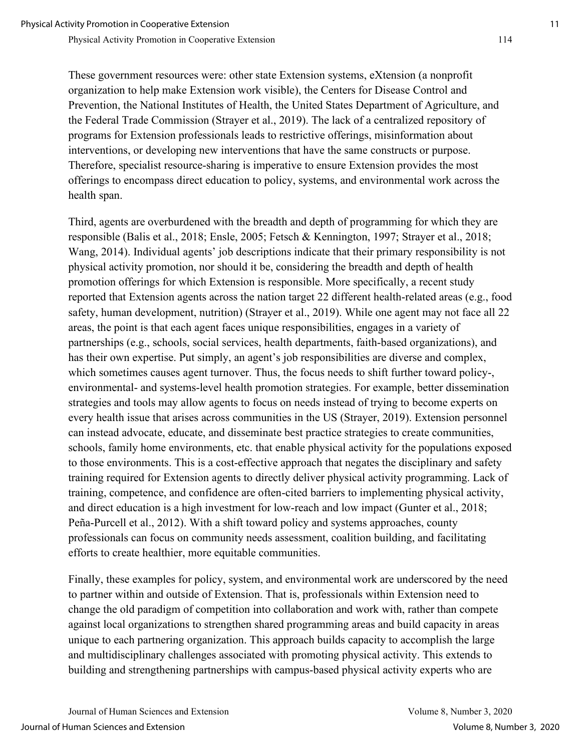These government resources were: other state Extension systems, eXtension (a nonprofit organization to help make Extension work visible), the Centers for Disease Control and Prevention, the National Institutes of Health, the United States Department of Agriculture, and the Federal Trade Commission (Strayer et al., 2019). The lack of a centralized repository of programs for Extension professionals leads to restrictive offerings, misinformation about interventions, or developing new interventions that have the same constructs or purpose. Therefore, specialist resource-sharing is imperative to ensure Extension provides the most offerings to encompass direct education to policy, systems, and environmental work across the health span.

Third, agents are overburdened with the breadth and depth of programming for which they are responsible (Balis et al., 2018; Ensle, 2005; Fetsch & Kennington, 1997; Strayer et al., 2018; Wang, 2014). Individual agents' job descriptions indicate that their primary responsibility is not physical activity promotion, nor should it be, considering the breadth and depth of health promotion offerings for which Extension is responsible. More specifically, a recent study reported that Extension agents across the nation target 22 different health-related areas (e.g., food safety, human development, nutrition) (Strayer et al., 2019). While one agent may not face all 22 areas, the point is that each agent faces unique responsibilities, engages in a variety of partnerships (e.g., schools, social services, health departments, faith-based organizations), and has their own expertise. Put simply, an agent's job responsibilities are diverse and complex, which sometimes causes agent turnover. Thus, the focus needs to shift further toward policy-, environmental- and systems-level health promotion strategies. For example, better dissemination strategies and tools may allow agents to focus on needs instead of trying to become experts on every health issue that arises across communities in the US (Strayer, 2019). Extension personnel can instead advocate, educate, and disseminate best practice strategies to create communities, schools, family home environments, etc. that enable physical activity for the populations exposed to those environments. This is a cost-effective approach that negates the disciplinary and safety training required for Extension agents to directly deliver physical activity programming. Lack of training, competence, and confidence are often-cited barriers to implementing physical activity, and direct education is a high investment for low-reach and low impact (Gunter et al., 2018; Peña-Purcell et al., 2012). With a shift toward policy and systems approaches, county professionals can focus on community needs assessment, coalition building, and facilitating efforts to create healthier, more equitable communities.

Finally, these examples for policy, system, and environmental work are underscored by the need to partner within and outside of Extension. That is, professionals within Extension need to change the old paradigm of competition into collaboration and work with, rather than compete against local organizations to strengthen shared programming areas and build capacity in areas unique to each partnering organization. This approach builds capacity to accomplish the large and multidisciplinary challenges associated with promoting physical activity. This extends to building and strengthening partnerships with campus-based physical activity experts who are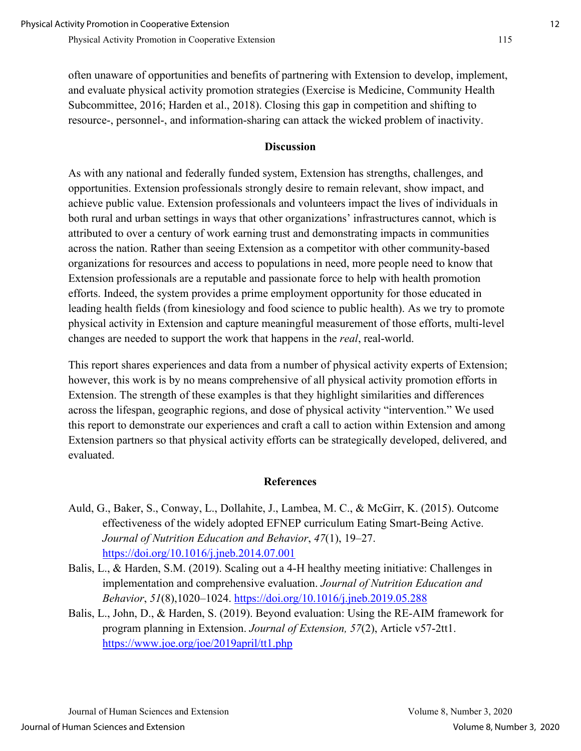often unaware of opportunities and benefits of partnering with Extension to develop, implement, and evaluate physical activity promotion strategies (Exercise is Medicine, Community Health Subcommittee, 2016; Harden et al., 2018). Closing this gap in competition and shifting to resource-, personnel-, and information-sharing can attack the wicked problem of inactivity.

#### **Discussion**

As with any national and federally funded system, Extension has strengths, challenges, and opportunities. Extension professionals strongly desire to remain relevant, show impact, and achieve public value. Extension professionals and volunteers impact the lives of individuals in both rural and urban settings in ways that other organizations' infrastructures cannot, which is attributed to over a century of work earning trust and demonstrating impacts in communities across the nation. Rather than seeing Extension as a competitor with other community-based organizations for resources and access to populations in need, more people need to know that Extension professionals are a reputable and passionate force to help with health promotion efforts. Indeed, the system provides a prime employment opportunity for those educated in leading health fields (from kinesiology and food science to public health). As we try to promote physical activity in Extension and capture meaningful measurement of those efforts, multi-level changes are needed to support the work that happens in the *real*, real-world.

This report shares experiences and data from a number of physical activity experts of Extension; however, this work is by no means comprehensive of all physical activity promotion efforts in Extension. The strength of these examples is that they highlight similarities and differences across the lifespan, geographic regions, and dose of physical activity "intervention." We used this report to demonstrate our experiences and craft a call to action within Extension and among Extension partners so that physical activity efforts can be strategically developed, delivered, and evaluated.

### **References**

- Auld, G., Baker, S., Conway, L., Dollahite, J., Lambea, M. C., & McGirr, K. (2015). Outcome effectiveness of the widely adopted EFNEP curriculum Eating Smart-Being Active. *Journal of Nutrition Education and Behavior*, *47*(1), 19–27. <https://doi.org/10.1016/j.jneb.2014.07.001>
- Balis, L., & Harden, S.M. (2019). Scaling out a 4-H healthy meeting initiative: Challenges in implementation and comprehensive evaluation. *Journal of Nutrition Education and Behavior*, *51*(8),1020–1024.<https://doi.org/10.1016/j.jneb.2019.05.288>
- Balis, L., John, D., & Harden, S. (2019). Beyond evaluation: Using the RE-AIM framework for program planning in Extension. *Journal of Extension, 57*(2), Article v57-2tt1. <https://www.joe.org/joe/2019april/tt1.php>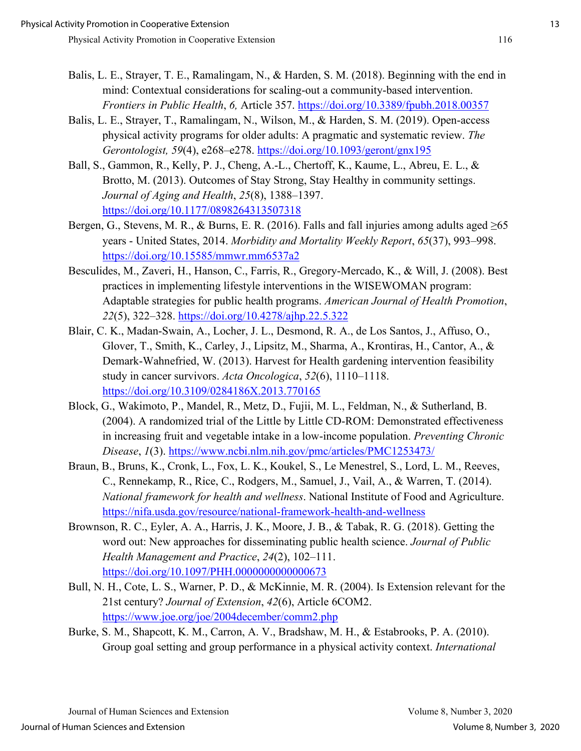- Balis, L. E., Strayer, T. E., Ramalingam, N., & Harden, S. M. (2018). Beginning with the end in mind: Contextual considerations for scaling-out a community-based intervention. *Frontiers in Public Health*, *6,* Article 357.<https://doi.org/10.3389/fpubh.2018.00357>
- Balis, L. E., Strayer, T., Ramalingam, N., Wilson, M., & Harden, S. M. (2019). Open-access physical activity programs for older adults: A pragmatic and systematic review. *The Gerontologist, 59*(4), e268–e278.<https://doi.org/10.1093/geront/gnx195>
- Ball, S., Gammon, R., Kelly, P. J., Cheng, A.-L., Chertoff, K., Kaume, L., Abreu, E. L., & Brotto, M. (2013). Outcomes of Stay Strong, Stay Healthy in community settings. *Journal of Aging and Health*, *25*(8), 1388–1397. <https://doi.org/10.1177/0898264313507318>
- Bergen, G., Stevens, M. R., & Burns, E. R. (2016). Falls and fall injuries among adults aged  $\geq 65$ years - United States, 2014. *Morbidity and Mortality Weekly Report*, *65*(37), 993–998. <https://doi.org/10.15585/mmwr.mm6537a2>
- Besculides, M., Zaveri, H., Hanson, C., Farris, R., Gregory-Mercado, K., & Will, J. (2008). Best practices in implementing lifestyle interventions in the WISEWOMAN program: Adaptable strategies for public health programs. *American Journal of Health Promotion*, *22*(5), 322–328.<https://doi.org/10.4278/ajhp.22.5.322>
- Blair, C. K., Madan-Swain, A., Locher, J. L., Desmond, R. A., de Los Santos, J., Affuso, O., Glover, T., Smith, K., Carley, J., Lipsitz, M., Sharma, A., Krontiras, H., Cantor, A., & Demark-Wahnefried, W. (2013). Harvest for Health gardening intervention feasibility study in cancer survivors. *Acta Oncologica*, *52*(6), 1110–1118. <https://doi.org/10.3109/0284186X.2013.770165>
- Block, G., Wakimoto, P., Mandel, R., Metz, D., Fujii, M. L., Feldman, N., & Sutherland, B. (2004). A randomized trial of the Little by Little CD-ROM: Demonstrated effectiveness in increasing fruit and vegetable intake in a low-income population. *Preventing Chronic Disease*, *1*(3).<https://www.ncbi.nlm.nih.gov/pmc/articles/PMC1253473/>
- Braun, B., Bruns, K., Cronk, L., Fox, L. K., Koukel, S., Le Menestrel, S., Lord, L. M., Reeves, C., Rennekamp, R., Rice, C., Rodgers, M., Samuel, J., Vail, A., & Warren, T. (2014). *National framework for health and wellness*. National Institute of Food and Agriculture. <https://nifa.usda.gov/resource/national-framework-health-and-wellness>
- Brownson, R. C., Eyler, A. A., Harris, J. K., Moore, J. B., & Tabak, R. G. (2018). Getting the word out: New approaches for disseminating public health science. *Journal of Public Health Management and Practice*, *24*(2), 102–111. <https://doi.org/10.1097/PHH.0000000000000673>
- Bull, N. H., Cote, L. S., Warner, P. D., & McKinnie, M. R. (2004). Is Extension relevant for the 21st century? *Journal of Extension*, *42*(6), Article 6COM2. <https://www.joe.org/joe/2004december/comm2.php>
- Burke, S. M., Shapcott, K. M., Carron, A. V., Bradshaw, M. H., & Estabrooks, P. A. (2010). Group goal setting and group performance in a physical activity context. *International*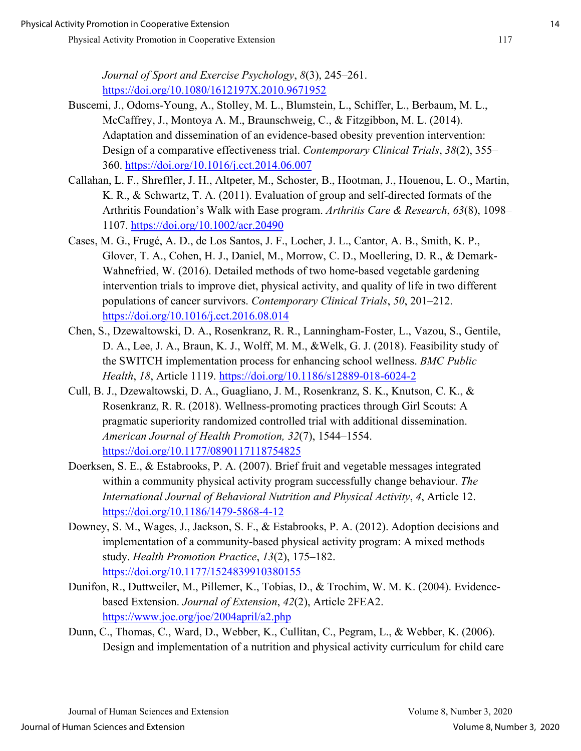*Journal of Sport and Exercise Psychology*, *8*(3), 245–261. <https://doi.org/10.1080/1612197X.2010.9671952>

- Buscemi, J., Odoms-Young, A., Stolley, M. L., Blumstein, L., Schiffer, L., Berbaum, M. L., McCaffrey, J., Montoya A. M., Braunschweig, C., & Fitzgibbon, M. L. (2014). Adaptation and dissemination of an evidence-based obesity prevention intervention: Design of a comparative effectiveness trial. *Contemporary Clinical Trials*, *38*(2), 355– 360.<https://doi.org/10.1016/j.cct.2014.06.007>
- Callahan, L. F., Shreffler, J. H., Altpeter, M., Schoster, B., Hootman, J., Houenou, L. O., Martin, K. R., & Schwartz, T. A. (2011). Evaluation of group and self-directed formats of the Arthritis Foundation's Walk with Ease program. *Arthritis Care & Research*, *63*(8), 1098– 1107.<https://doi.org/10.1002/acr.20490>
- Cases, M. G., Frugé, A. D., de Los Santos, J. F., Locher, J. L., Cantor, A. B., Smith, K. P., Glover, T. A., Cohen, H. J., Daniel, M., Morrow, C. D., Moellering, D. R., & Demark-Wahnefried, W. (2016). Detailed methods of two home-based vegetable gardening intervention trials to improve diet, physical activity, and quality of life in two different populations of cancer survivors. *Contemporary Clinical Trials*, *50*, 201–212. <https://doi.org/10.1016/j.cct.2016.08.014>
- Chen, S., Dzewaltowski, D. A., Rosenkranz, R. R., Lanningham-Foster, L., Vazou, S., Gentile, D. A., Lee, J. A., Braun, K. J., Wolff, M. M., &Welk, G. J. (2018). Feasibility study of the SWITCH implementation process for enhancing school wellness. *BMC Public Health*, *18*, Article 1119.<https://doi.org/10.1186/s12889-018-6024-2>
- Cull, B. J., Dzewaltowski, D. A., Guagliano, J. M., Rosenkranz, S. K., Knutson, C. K., & Rosenkranz, R. R. (2018). Wellness-promoting practices through Girl Scouts: A pragmatic superiority randomized controlled trial with additional dissemination. *American Journal of Health Promotion, 32*(7), 1544–1554. <https://doi.org/10.1177/0890117118754825>
- Doerksen, S. E., & Estabrooks, P. A. (2007). Brief fruit and vegetable messages integrated within a community physical activity program successfully change behaviour. *The International Journal of Behavioral Nutrition and Physical Activity*, *4*, Article 12. <https://doi.org/10.1186/1479-5868-4-12>
- Downey, S. M., Wages, J., Jackson, S. F., & Estabrooks, P. A. (2012). Adoption decisions and implementation of a community-based physical activity program: A mixed methods study. *Health Promotion Practice*, *13*(2), 175–182. <https://doi.org/10.1177/1524839910380155>
- Dunifon, R., Duttweiler, M., Pillemer, K., Tobias, D., & Trochim, W. M. K. (2004). Evidencebased Extension. *Journal of Extension*, *42*(2), Article 2FEA2. <https://www.joe.org/joe/2004april/a2.php>
- Dunn, C., Thomas, C., Ward, D., Webber, K., Cullitan, C., Pegram, L., & Webber, K. (2006). Design and implementation of a nutrition and physical activity curriculum for child care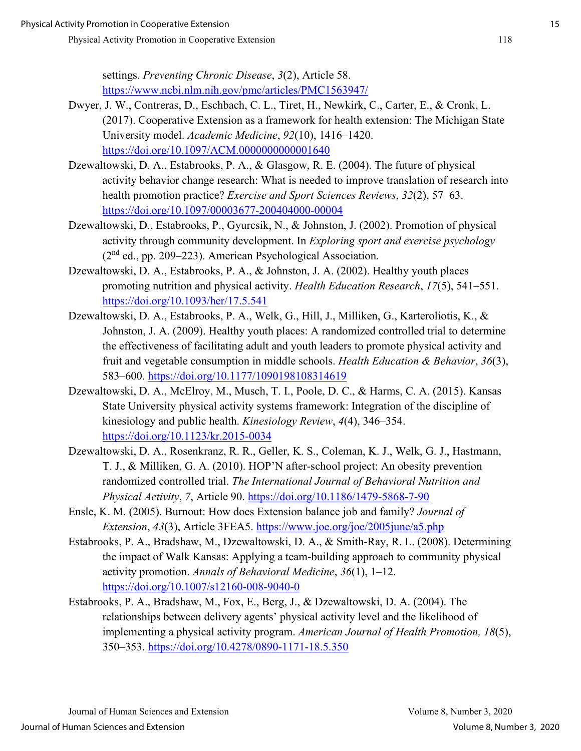settings. *Preventing Chronic Disease*, *3*(2), Article 58. <https://www.ncbi.nlm.nih.gov/pmc/articles/PMC1563947/>

- Dwyer, J. W., Contreras, D., Eschbach, C. L., Tiret, H., Newkirk, C., Carter, E., & Cronk, L. (2017). Cooperative Extension as a framework for health extension: The Michigan State University model. *Academic Medicine*, *92*(10), 1416–1420. <https://doi.org/10.1097/ACM.0000000000001640>
- Dzewaltowski, D. A., Estabrooks, P. A., & Glasgow, R. E. (2004). The future of physical activity behavior change research: What is needed to improve translation of research into health promotion practice? *Exercise and Sport Sciences Reviews*, *32*(2), 57–63. <https://doi.org/10.1097/00003677-200404000-00004>
- Dzewaltowski, D., Estabrooks, P., Gyurcsik, N., & Johnston, J. (2002). Promotion of physical activity through community development. In *Exploring sport and exercise psychology*  $(2<sup>nd</sup>$  ed., pp. 209–223). American Psychological Association.
- Dzewaltowski, D. A., Estabrooks, P. A., & Johnston, J. A. (2002). Healthy youth places promoting nutrition and physical activity. *Health Education Research*, *17*(5), 541–551. <https://doi.org/10.1093/her/17.5.541>
- Dzewaltowski, D. A., Estabrooks, P. A., Welk, G., Hill, J., Milliken, G., Karteroliotis, K., & Johnston, J. A. (2009). Healthy youth places: A randomized controlled trial to determine the effectiveness of facilitating adult and youth leaders to promote physical activity and fruit and vegetable consumption in middle schools. *Health Education & Behavior*, *36*(3), 583–600.<https://doi.org/10.1177/1090198108314619>
- Dzewaltowski, D. A., McElroy, M., Musch, T. I., Poole, D. C., & Harms, C. A. (2015). Kansas State University physical activity systems framework: Integration of the discipline of kinesiology and public health. *Kinesiology Review*, *4*(4), 346–354. <https://doi.org/10.1123/kr.2015-0034>
- Dzewaltowski, D. A., Rosenkranz, R. R., Geller, K. S., Coleman, K. J., Welk, G. J., Hastmann, T. J., & Milliken, G. A. (2010). HOP'N after-school project: An obesity prevention randomized controlled trial. *The International Journal of Behavioral Nutrition and Physical Activity*, *7*, Article 90.<https://doi.org/10.1186/1479-5868-7-90>
- Ensle, K. M. (2005). Burnout: How does Extension balance job and family? *Journal of Extension*, *43*(3), Article 3FEA5.<https://www.joe.org/joe/2005june/a5.php>
- Estabrooks, P. A., Bradshaw, M., Dzewaltowski, D. A., & Smith-Ray, R. L. (2008). Determining the impact of Walk Kansas: Applying a team-building approach to community physical activity promotion. *Annals of Behavioral Medicine*, *36*(1), 1–12. <https://doi.org/10.1007/s12160-008-9040-0>
- Estabrooks, P. A., Bradshaw, M., Fox, E., Berg, J., & Dzewaltowski, D. A. (2004). The relationships between delivery agents' physical activity level and the likelihood of implementing a physical activity program. *American Journal of Health Promotion, 18*(5), 350–353.<https://doi.org/10.4278/0890-1171-18.5.350>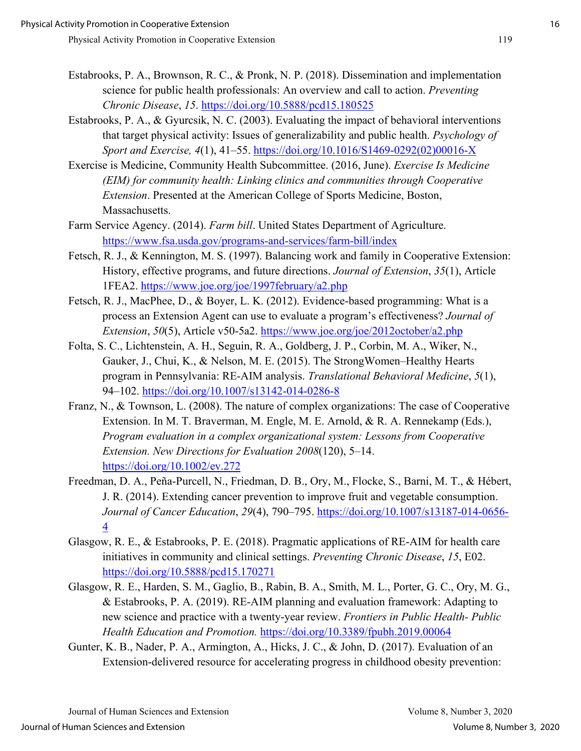- Estabrooks, P. A., Brownson, R. C., & Pronk, N. P. (2018). Dissemination and implementation science for public health professionals: An overview and call to action. *Preventing Chronic Disease*, *15*.<https://doi.org/10.5888/pcd15.180525>
- Estabrooks, P. A., & Gyurcsik, N. C. (2003). Evaluating the impact of behavioral interventions that target physical activity: Issues of generalizability and public health. *Psychology of Sport and Exercise, 4*(1), 41–55. [https://doi.org/10.1016/S1469-0292\(02\)00016-X](https://doi.org/10.1016/S1469-0292(02)00016-X)
- Exercise is Medicine, Community Health Subcommittee. (2016, June). *Exercise Is Medicine (EIM) for community health: Linking clinics and communities through Cooperative Extension*. Presented at the American College of Sports Medicine, Boston, Massachusetts.
- Farm Service Agency. (2014). *Farm bill*. United States Department of Agriculture. <https://www.fsa.usda.gov/programs-and-services/farm-bill/index>
- Fetsch, R. J., & Kennington, M. S. (1997). Balancing work and family in Cooperative Extension: History, effective programs, and future directions. *Journal of Extension*, *35*(1), Article 1FEA2.<https://www.joe.org/joe/1997february/a2.php>
- Fetsch, R. J., MacPhee, D., & Boyer, L. K. (2012). Evidence-based programming: What is a process an Extension Agent can use to evaluate a program's effectiveness? *Journal of Extension*, *50*(5), Article v50-5a2.<https://www.joe.org/joe/2012october/a2.php>
- Folta, S. C., Lichtenstein, A. H., Seguin, R. A., Goldberg, J. P., Corbin, M. A., Wiker, N., Gauker, J., Chui, K., & Nelson, M. E. (2015). The StrongWomen–Healthy Hearts program in Pennsylvania: RE-AIM analysis. *Translational Behavioral Medicine*, *5*(1), 94–102.<https://doi.org/10.1007/s13142-014-0286-8>
- Franz, N., & Townson, L. (2008). The nature of complex organizations: The case of Cooperative Extension. In M. T. Braverman, M. Engle, M. E. Arnold, & R. A. Rennekamp (Eds.), *Program evaluation in a complex organizational system: Lessons from Cooperative Extension. New Directions for Evaluation 2008*(120), 5–14. <https://doi.org/10.1002/ev.272>
- Freedman, D. A., Peña-Purcell, N., Friedman, D. B., Ory, M., Flocke, S., Barni, M. T., & Hébert, J. R. (2014). Extending cancer prevention to improve fruit and vegetable consumption. *Journal of Cancer Education*, *29*(4), 790–795. [https://doi.org/10.1007/s13187-014-0656-](https://doi.org/10.1007/s13187-014-0656-4) [4](https://doi.org/10.1007/s13187-014-0656-4)
- Glasgow, R. E., & Estabrooks, P. E. (2018). Pragmatic applications of RE-AIM for health care initiatives in community and clinical settings. *Preventing Chronic Disease*, *15*, E02. <https://doi.org/10.5888/pcd15.170271>
- Glasgow, R. E., Harden, S. M., Gaglio, B., Rabin, B. A., Smith, M. L., Porter, G. C., Ory, M. G., & Estabrooks, P. A. (2019). RE-AIM planning and evaluation framework: Adapting to new science and practice with a twenty-year review. *Frontiers in Public Health- Public Health Education and Promotion.* <https://doi.org/10.3389/fpubh.2019.00064>
- Gunter, K. B., Nader, P. A., Armington, A., Hicks, J. C., & John, D. (2017). Evaluation of an Extension-delivered resource for accelerating progress in childhood obesity prevention: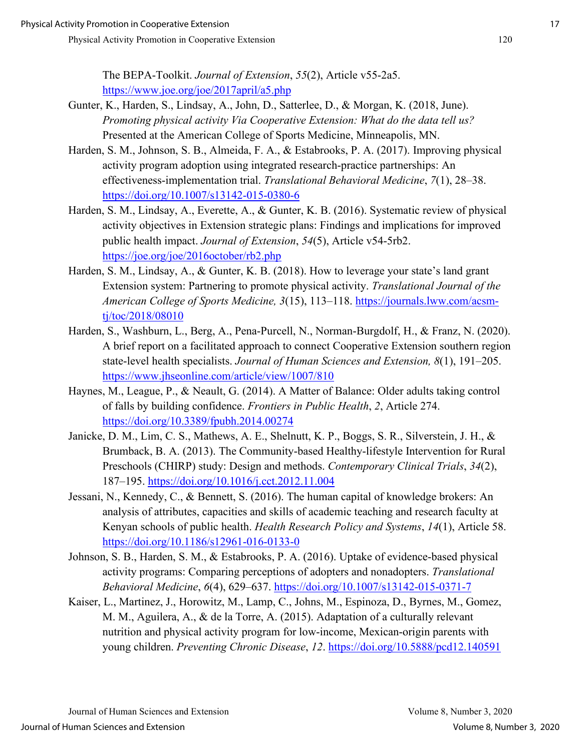The BEPA-Toolkit. *Journal of Extension*, *55*(2), Article v55-2a5. <https://www.joe.org/joe/2017april/a5.php>

- Gunter, K., Harden, S., Lindsay, A., John, D., Satterlee, D., & Morgan, K. (2018, June). *Promoting physical activity Via Cooperative Extension: What do the data tell us?* Presented at the American College of Sports Medicine, Minneapolis, MN.
- Harden, S. M., Johnson, S. B., Almeida, F. A., & Estabrooks, P. A. (2017). Improving physical activity program adoption using integrated research-practice partnerships: An effectiveness-implementation trial. *Translational Behavioral Medicine*, *7*(1), 28–38. <https://doi.org/10.1007/s13142-015-0380-6>
- Harden, S. M., Lindsay, A., Everette, A., & Gunter, K. B. (2016). Systematic review of physical activity objectives in Extension strategic plans: Findings and implications for improved public health impact. *Journal of Extension*, *54*(5), Article v54-5rb2. <https://joe.org/joe/2016october/rb2.php>
- Harden, S. M., Lindsay, A., & Gunter, K. B. (2018). How to leverage your state's land grant Extension system: Partnering to promote physical activity. *Translational Journal of the American College of Sports Medicine, 3*(15), 113–118. [https://journals.lww.com/acsm](https://journals.lww.com/acsm-tj/toc/2018/08010)[tj/toc/2018/08010](https://journals.lww.com/acsm-tj/toc/2018/08010)
- Harden, S., Washburn, L., Berg, A., Pena-Purcell, N., Norman-Burgdolf, H., & Franz, N. (2020). A brief report on a facilitated approach to connect Cooperative Extension southern region state-level health specialists. *Journal of Human Sciences and Extension, 8*(1), 191–205. <https://www.jhseonline.com/article/view/1007/810>
- Haynes, M., League, P., & Neault, G. (2014). A Matter of Balance: Older adults taking control of falls by building confidence. *Frontiers in Public Health*, *2*, Article 274. <https://doi.org/10.3389/fpubh.2014.00274>
- Janicke, D. M., Lim, C. S., Mathews, A. E., Shelnutt, K. P., Boggs, S. R., Silverstein, J. H., & Brumback, B. A. (2013). The Community-based Healthy-lifestyle Intervention for Rural Preschools (CHIRP) study: Design and methods. *Contemporary Clinical Trials*, *34*(2), 187–195.<https://doi.org/10.1016/j.cct.2012.11.004>
- Jessani, N., Kennedy, C., & Bennett, S. (2016). The human capital of knowledge brokers: An analysis of attributes, capacities and skills of academic teaching and research faculty at Kenyan schools of public health. *Health Research Policy and Systems*, *14*(1), Article 58. <https://doi.org/10.1186/s12961-016-0133-0>
- Johnson, S. B., Harden, S. M., & Estabrooks, P. A. (2016). Uptake of evidence-based physical activity programs: Comparing perceptions of adopters and nonadopters. *Translational Behavioral Medicine*, *6*(4), 629–637.<https://doi.org/10.1007/s13142-015-0371-7>
- Kaiser, L., Martinez, J., Horowitz, M., Lamp, C., Johns, M., Espinoza, D., Byrnes, M., Gomez, M. M., Aguilera, A., & de la Torre, A. (2015). Adaptation of a culturally relevant nutrition and physical activity program for low-income, Mexican-origin parents with young children. *Preventing Chronic Disease*, *12*.<https://doi.org/10.5888/pcd12.140591>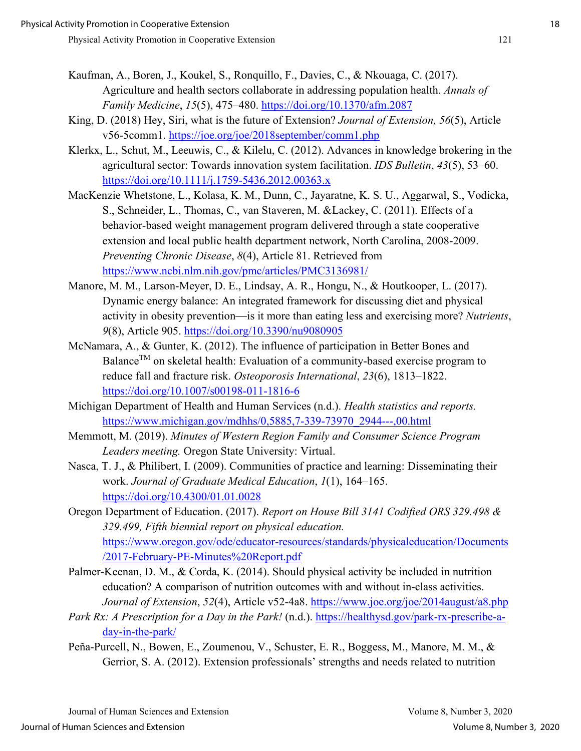- Kaufman, A., Boren, J., Koukel, S., Ronquillo, F., Davies, C., & Nkouaga, C. (2017). Agriculture and health sectors collaborate in addressing population health. *Annals of Family Medicine*, *15*(5), 475–480.<https://doi.org/10.1370/afm.2087>
- King, D. (2018) Hey, Siri, what is the future of Extension? *Journal of Extension, 56*(5), Article v56-5comm1. https://joe.org/joe/2018september/comm1.php
- Klerkx, L., Schut, M., Leeuwis, C., & Kilelu, C. (2012). Advances in knowledge brokering in the agricultural sector: Towards innovation system facilitation. *IDS Bulletin*, *43*(5), 53–60. https://doi.org/10.1111/j.1759-5436.2012.00363.x
- MacKenzie Whetstone, L., Kolasa, K. M., Dunn, C., Jayaratne, K. S. U., Aggarwal, S., Vodicka, S., Schneider, L., Thomas, C., van Staveren, M. &Lackey, C. (2011). Effects of a behavior-based weight management program delivered through a state cooperative extension and local public health department network, North Carolina, 2008-2009. *Preventing Chronic Disease*, *8*(4), Article 81. Retrieved from <https://www.ncbi.nlm.nih.gov/pmc/articles/PMC3136981/>
- Manore, M. M., Larson-Meyer, D. E., Lindsay, A. R., Hongu, N., & Houtkooper, L. (2017). Dynamic energy balance: An integrated framework for discussing diet and physical activity in obesity prevention—is it more than eating less and exercising more? *Nutrients*, *9*(8), Article 905.<https://doi.org/10.3390/nu9080905>
- McNamara, A., & Gunter, K. (2012). The influence of participation in Better Bones and Balance<sup>TM</sup> on skeletal health: Evaluation of a community-based exercise program to reduce fall and fracture risk. *Osteoporosis International*, *23*(6), 1813–1822. <https://doi.org/10.1007/s00198-011-1816-6>
- Michigan Department of Health and Human Services (n.d.). *Health statistics and reports.* [https://www.michigan.gov/mdhhs/0,5885,7-339-73970\\_2944---,00.html](https://www.michigan.gov/mdhhs/0,5885,7-339-73970_2944---,00.html)
- Memmott, M. (2019). *Minutes of Western Region Family and Consumer Science Program Leaders meeting.* Oregon State University: Virtual.
- Nasca, T. J., & Philibert, I. (2009). Communities of practice and learning: Disseminating their work. *Journal of Graduate Medical Education*, *1*(1), 164–165. <https://doi.org/10.4300/01.01.0028>
- Oregon Department of Education. (2017). *Report on House Bill 3141 Codified ORS 329.498 & 329.499, Fifth biennial report on physical education.* [https://www.oregon.gov/ode/educator-resources/standards/physicaleducation/Documents](https://www.oregon.gov/ode/educator-resources/standards/physicaleducation/Documents/2017-February-PE-Minutes%20Report.pdf) [/2017-February-PE-Minutes%20Report.pdf](https://www.oregon.gov/ode/educator-resources/standards/physicaleducation/Documents/2017-February-PE-Minutes%20Report.pdf)
- Palmer-Keenan, D. M., & Corda, K. (2014). Should physical activity be included in nutrition education? A comparison of nutrition outcomes with and without in-class activities. *Journal of Extension*, *52*(4), Article v52-4a8.<https://www.joe.org/joe/2014august/a8.php>
- *Park Rx: A Prescription for a Day in the Park!* (n.d.). [https://healthysd.gov/park-rx-prescribe-a](https://healthysd.gov/park-rx-prescribe-a-day-in-the-park/)[day-in-the-park/](https://healthysd.gov/park-rx-prescribe-a-day-in-the-park/)
- Peña-Purcell, N., Bowen, E., Zoumenou, V., Schuster, E. R., Boggess, M., Manore, M. M., & Gerrior, S. A. (2012). Extension professionals' strengths and needs related to nutrition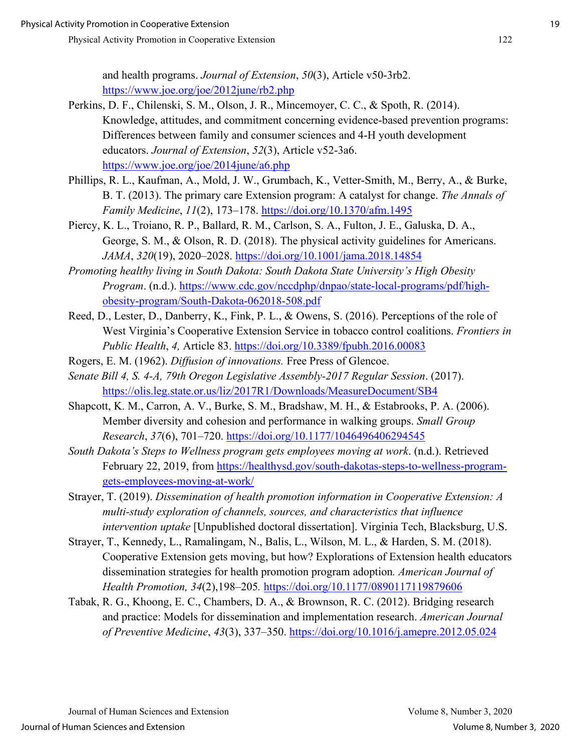and health programs. *Journal of Extension*, *50*(3), Article v50-3rb2. <https://www.joe.org/joe/2012june/rb2.php>

- Perkins, D. F., Chilenski, S. M., Olson, J. R., Mincemoyer, C. C., & Spoth, R. (2014). Knowledge, attitudes, and commitment concerning evidence-based prevention programs: Differences between family and consumer sciences and 4-H youth development educators. *Journal of Extension*, *52*(3), Article v52-3a6. <https://www.joe.org/joe/2014june/a6.php>
- Phillips, R. L., Kaufman, A., Mold, J. W., Grumbach, K., Vetter-Smith, M., Berry, A., & Burke, B. T. (2013). The primary care Extension program: A catalyst for change. *The Annals of Family Medicine*, *11*(2), 173–178.<https://doi.org/10.1370/afm.1495>
- Piercy, K. L., Troiano, R. P., Ballard, R. M., Carlson, S. A., Fulton, J. E., Galuska, D. A., George, S. M., & Olson, R. D. (2018). The physical activity guidelines for Americans. *JAMA*, *320*(19), 2020–2028.<https://doi.org/10.1001/jama.2018.14854>
- *Promoting healthy living in South Dakota: South Dakota State University's High Obesity Program*. (n.d.). [https://www.cdc.gov/nccdphp/dnpao/state-local-programs/pdf/high](https://www.cdc.gov/nccdphp/dnpao/state-local-programs/pdf/high-obesity-program/South-Dakota-062018-508.pdf)[obesity-program/South-Dakota-062018-508.pdf](https://www.cdc.gov/nccdphp/dnpao/state-local-programs/pdf/high-obesity-program/South-Dakota-062018-508.pdf)
- Reed, D., Lester, D., Danberry, K., Fink, P. L., & Owens, S. (2016). Perceptions of the role of West Virginia's Cooperative Extension Service in tobacco control coalitions. *Frontiers in Public Health*, *4,* Article 83.<https://doi.org/10.3389/fpubh.2016.00083>
- Rogers, E. M. (1962). *Diffusion of innovations.* Free Press of Glencoe.
- *Senate Bill 4, S. 4-A, 79th Oregon Legislative Assembly-2017 Regular Session*. (2017). <https://olis.leg.state.or.us/liz/2017R1/Downloads/MeasureDocument/SB4>
- Shapcott, K. M., Carron, A. V., Burke, S. M., Bradshaw, M. H., & Estabrooks, P. A. (2006). Member diversity and cohesion and performance in walking groups. *Small Group Research*, *37*(6), 701–720.<https://doi.org/10.1177/1046496406294545>
- *South Dakota's Steps to Wellness program gets employees moving at work*. (n.d.). Retrieved February 22, 2019, from [https://healthysd.gov/south-dakotas-steps-to-wellness-program](https://healthysd.gov/south-dakotas-steps-to-wellness-program-gets-employees-moving-at-work/)[gets-employees-moving-at-work/](https://healthysd.gov/south-dakotas-steps-to-wellness-program-gets-employees-moving-at-work/)
- Strayer, T. (2019). *Dissemination of health promotion information in Cooperative Extension: A multi-study exploration of channels, sources, and characteristics that influence intervention uptake* [Unpublished doctoral dissertation]. Virginia Tech, Blacksburg, U.S.
- Strayer, T., Kennedy, L., Ramalingam, N., Balis, L., Wilson, M. L., & Harden, S. M. (2018). Cooperative Extension gets moving, but how? Explorations of Extension health educators dissemination strategies for health promotion program adoption*. American Journal of Health Promotion, 34*(2),198–205*.* <https://doi.org/10.1177/0890117119879606>
- Tabak, R. G., Khoong, E. C., Chambers, D. A., & Brownson, R. C. (2012). Bridging research and practice: Models for dissemination and implementation research. *American Journal of Preventive Medicine*, *43*(3), 337–350.<https://doi.org/10.1016/j.amepre.2012.05.024>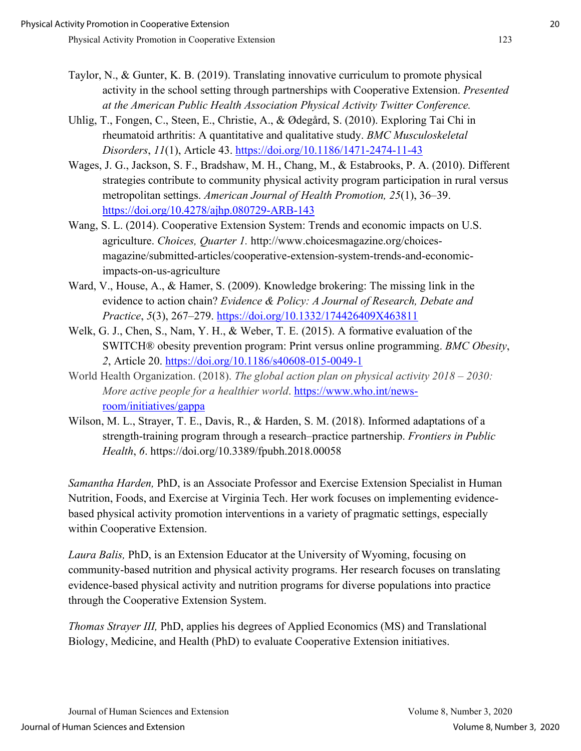- Taylor, N., & Gunter, K. B. (2019). Translating innovative curriculum to promote physical activity in the school setting through partnerships with Cooperative Extension. *Presented at the American Public Health Association Physical Activity Twitter Conference.*
- Uhlig, T., Fongen, C., Steen, E., Christie, A., & Ødegård, S. (2010). Exploring Tai Chi in rheumatoid arthritis: A quantitative and qualitative study. *BMC Musculoskeletal Disorders*, *11*(1), Article 43.<https://doi.org/10.1186/1471-2474-11-43>
- Wages, J. G., Jackson, S. F., Bradshaw, M. H., Chang, M., & Estabrooks, P. A. (2010). Different strategies contribute to community physical activity program participation in rural versus metropolitan settings. *American Journal of Health Promotion, 25*(1), 36–39. <https://doi.org/10.4278/ajhp.080729-ARB-143>
- Wang, S. L. (2014). Cooperative Extension System: Trends and economic impacts on U.S. agriculture. *Choices, Quarter 1.* http://www.choicesmagazine.org/choicesmagazine/submitted-articles/cooperative-extension-system-trends-and-economicimpacts-on-us-agriculture
- Ward, V., House, A., & Hamer, S. (2009). Knowledge brokering: The missing link in the evidence to action chain? *Evidence & Policy: A Journal of Research, Debate and Practice*, *5*(3), 267–279.<https://doi.org/10.1332/174426409X463811>
- Welk, G. J., Chen, S., Nam, Y. H., & Weber, T. E. (2015). A formative evaluation of the SWITCH® obesity prevention program: Print versus online programming. *BMC Obesity*, *2*, Article 20.<https://doi.org/10.1186/s40608-015-0049-1>
- World Health Organization. (2018). *The global action plan on physical activity 2018 2030: More active people for a healthier world*. [https://www.who.int/news](https://www.who.int/news-room/initiatives/gappa)[room/initiatives/gappa](https://www.who.int/news-room/initiatives/gappa)
- Wilson, M. L., Strayer, T. E., Davis, R., & Harden, S. M. (2018). Informed adaptations of a strength-training program through a research–practice partnership. *Frontiers in Public Health*, *6*. https://doi.org/10.3389/fpubh.2018.00058

*Samantha Harden,* PhD, is an Associate Professor and Exercise Extension Specialist in Human Nutrition, Foods, and Exercise at Virginia Tech. Her work focuses on implementing evidencebased physical activity promotion interventions in a variety of pragmatic settings, especially within Cooperative Extension.

*Laura Balis,* PhD, is an Extension Educator at the University of Wyoming, focusing on community-based nutrition and physical activity programs. Her research focuses on translating evidence-based physical activity and nutrition programs for diverse populations into practice through the Cooperative Extension System.

*Thomas Strayer III,* PhD, applies his degrees of Applied Economics (MS) and Translational Biology, Medicine, and Health (PhD) to evaluate Cooperative Extension initiatives.